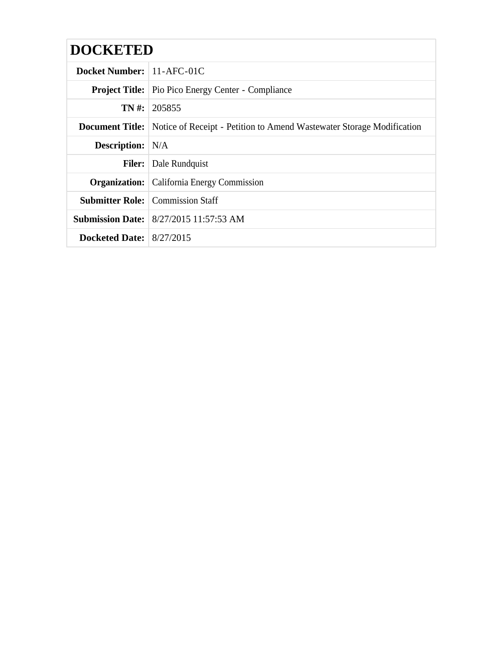| <b>DOCKETED</b>            |                                                                                              |
|----------------------------|----------------------------------------------------------------------------------------------|
| Docket Number: 11-AFC-01C  |                                                                                              |
|                            | <b>Project Title:</b> Pio Pico Energy Center - Compliance                                    |
|                            | <b>TN</b> #:   205855                                                                        |
|                            | <b>Document Title:</b> Notice of Receipt - Petition to Amend Wastewater Storage Modification |
| <b>Description:</b> N/A    |                                                                                              |
|                            | <b>Filer:</b> Dale Rundquist                                                                 |
|                            | <b>Organization:</b> California Energy Commission                                            |
|                            | <b>Submitter Role:</b> Commission Staff                                                      |
|                            | <b>Submission Date:</b> 8/27/2015 11:57:53 AM                                                |
| Docketed Date: $8/27/2015$ |                                                                                              |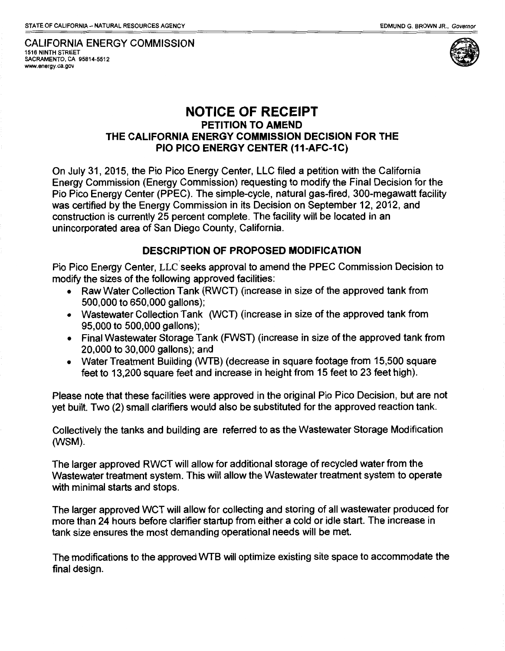CALIFORNIA ENERGY COMMISSION 1516 NINTH STREET SACRAMENTO, CA 95814-5512 www.energy.ca.gov



## NOTICE OF RECEIPT PETITION TO AMEND THE CALIFORNIA ENERGY COMMISSION DECISION FOR THE PIO PICO ENERGY CENTER (11-AFC-1C)

On July 31, 2015, the Pio Pico Energy Center, LLC filed a petition with the California Energy Commission (Energy Commission) requesting to modify the Final Decision for the Pio Pico Energy Center (PPEC). The simple-cycle, natural gas-fired, 300-megawatt facility was certified by the Energy Commission in its Decision on September 12, 2012, and construction is currently 25 percent complete. The facility will be located in an unincorporated area of San Diego County, California.

## DESCRIPTION OF PROPOSED MODIFICATION

Pio Pico Energy Center, LLC seeks approval to amend the PPEC Commission Decision to modify the sizes of the following approved facilities:

- Raw Water Collection Tank (RWCT) (increase in size of the approved tank from 500,000 to 650,000 gallons);
- Wastewater Collection Tank (WCT) (increase in size of the approved tank from 95,000 to 500,000 gallons);
- Final Wastewater Storage Tank (FWST) (increase in size of the approved tank from 20,000 to 30,000 gallons); and
- Water Treatment Building (WTB) (decrease in square footage from 15,500 square feet to 13,200 square feet and increase in height from 15 feet to 23 feet high).

Please note that these facilities were approved in the original Pio Pico Decision, but are not yet built. Two (2) small clarifiers would also be substituted for the approved reaction tank.

Collectively the tanks and building are referred to as the Wastewater Storage Modification (WSM).

The larger approved RWCT will allow for additional storage of recycled water from the Wastewater treatment system. This will allow the Wastewater treatment system to operate with minimal starts and stops.

The larger approved WCT will allow for collecting and storing of all wastewater produced for more than 24 hours before clarifier startup from either a cold or idle start. The increase in tank size ensures the most demanding operational needs will be met.

The modifications to the approved WTB will optimize existing site space to accommodate the final design.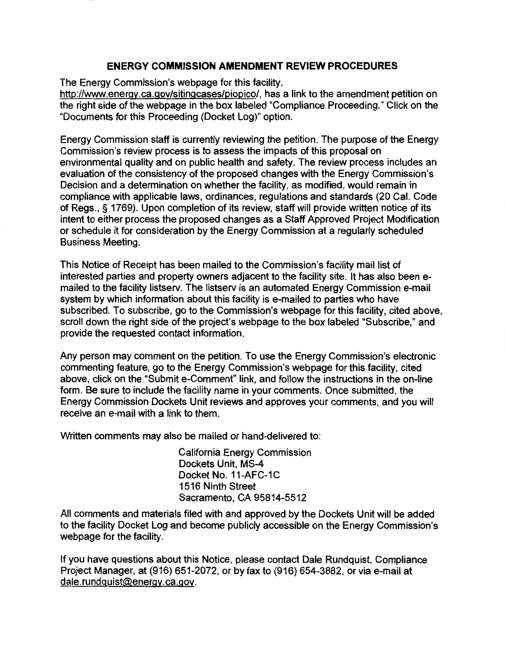## **ENERGY COMMISSION AMENDMENT REVIEW PROCEDURES**

The Energy Commission's webpage for this facility,

http://www.energy.ca.gov/sitingcases/piopico/, has a link to the amendment petition on the right side of the webpage in the box labeled "Compliance Proceeding." Click on the "Documents for this Proceeding (Docket Log)" option.

Energy Commission staff is currently reviewing the petition. The purpose of the Energy Commission's review process is to assess the impacts of this proposal on environmental quality and on public health and safety. The review process includes an evaluation of the consistency of the proposed changes with the Energy Commission's Decision and a determination on whether the facility, as modified, would remain in compliance with applicable laws, ordinances, regulations and standards (20 Cal. Code of Regs.,§ 1769). Upon completion of its review, staff will provide written notice of its intent to either process the proposed changes as a Staff Approved Project Modification or schedule it for consideration by the Energy Commission at a regularly scheduled Business Meeting.

This Notice of Receipt has been mailed to the Commission's facility mail list of interested parties and property owners adjacent to the facility site. It has also been emailed to the facility listserv. The listserv is an automated Energy Commission e-mail system by which information about this facility is e-mailed to parties who have subscribed. To subscribe, go to the Commission's webpage for this facility, cited above, scroll down the right side of the project's webpage to the box labeled "Subscribe," and provide the requested contact information.

Any person may comment on the petition. To use the Energy Commission's electronic commenting feature, go to the Energy Commission's webpage for this facility, cited above, click on the "Submit e-Comment" link, and follow the instructions in the on-line form. Be sure to include the facility name in your comments. Once submitted, the Energy Commission Dockets Unit reviews and approves your comments, and you will receive an e-mail with a link to them.

Written comments may also be mailed or hand-delivered to:

California Energy Commission Dockets Unit, MS-4 Docket No. 11-AFC-1C 1516 Ninth Street Sacramento, CA 95814-5512

All comments and materials filed with and approved by the Dockets Unit will be added to the facility Docket Log and become publicly accessible on the Energy Commission's webpage for the facility.

If you have questions about this Notice, please contact Dale Rundquist, Compliance Project Manager, at (916) 651-2072, or by fax to (916) 654-3882, or via e-mail at dale.rundquist@energy.ca.gov.